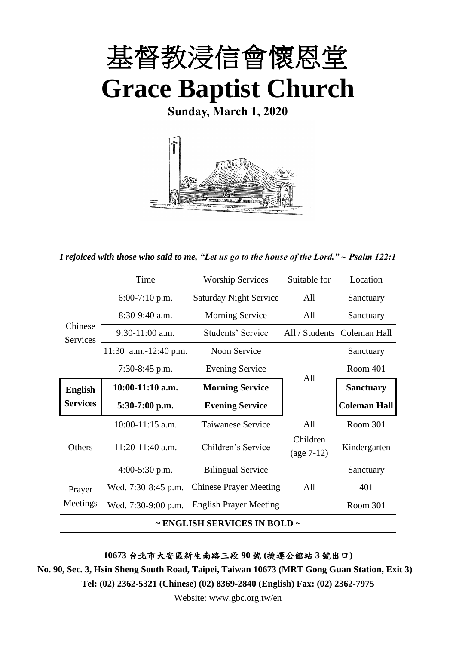

**Sunday, March 1, 2020**



*I rejoiced with those who said to me, "Let us go to the house of the Lord." ~ Psalm 122:1*

|                            | Time                  | <b>Worship Services</b>                | Suitable for   | Location            |
|----------------------------|-----------------------|----------------------------------------|----------------|---------------------|
|                            | $6:00-7:10$ p.m.      | <b>Saturday Night Service</b>          | All            | Sanctuary           |
|                            | $8:30-9:40$ a.m.      | <b>Morning Service</b>                 | All            | Sanctuary           |
| Chinese<br><b>Services</b> | $9:30-11:00$ a.m.     | Students' Service                      | All / Students | Coleman Hall        |
|                            | 11:30 a.m.-12:40 p.m. | <b>Noon Service</b>                    |                | Sanctuary           |
|                            | $7:30-8:45$ p.m.      | <b>Evening Service</b>                 | A11            | Room 401            |
| <b>English</b>             | $10:00-11:10$ a.m.    | <b>Morning Service</b>                 |                | <b>Sanctuary</b>    |
| <b>Services</b>            | $5:30-7:00$ p.m.      | <b>Evening Service</b>                 |                | <b>Coleman Hall</b> |
|                            | $10:00-11:15$ a.m.    | Taiwanese Service                      | All            | Room 301            |
| <b>Others</b>              | $11:20-11:40$ a.m.    | Children's Service                     | Children       | Kindergarten        |
|                            |                       |                                        | $(age 7-12)$   |                     |
|                            | $4:00-5:30$ p.m.      | <b>Bilingual Service</b>               |                | Sanctuary           |
| Prayer                     | Wed. 7:30-8:45 p.m.   | <b>Chinese Prayer Meeting</b>          | A11            | 401                 |
| Meetings                   | Wed. 7:30-9:00 p.m.   | <b>English Prayer Meeting</b>          |                | Room 301            |
|                            |                       | $\sim$ ENGLISH SERVICES IN BOLD $\sim$ |                |                     |

**10673** 台北市大安區新生南路三段 **90** 號 **(**捷運公館站 **3** 號出口**)**

**No. 90, Sec. 3, Hsin Sheng South Road, Taipei, Taiwan 10673 (MRT Gong Guan Station, Exit 3) Tel: (02) 2362-5321 (Chinese) (02) 8369-2840 (English) Fax: (02) 2362-7975**

Website: [www.gbc.org.tw/en](http://www.gbc.org.tw/en)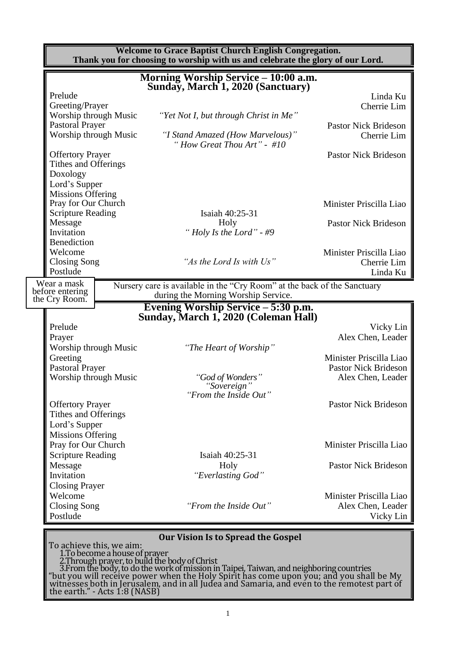|                                                                                                                                   |                          | <b>Welcome to Grace Baptist Church English Congregation.</b><br>Thank you for choosing to worship with us and celebrate the glory of our Lord.                                                                                                                                                                                                                                                                      |                                                                             |
|-----------------------------------------------------------------------------------------------------------------------------------|--------------------------|---------------------------------------------------------------------------------------------------------------------------------------------------------------------------------------------------------------------------------------------------------------------------------------------------------------------------------------------------------------------------------------------------------------------|-----------------------------------------------------------------------------|
|                                                                                                                                   |                          | Morning Worship Service – 10:00 a.m.<br>Sunday, March 1, 2020 (Sanctuary)                                                                                                                                                                                                                                                                                                                                           |                                                                             |
| Prelude<br>Greeting/Prayer                                                                                                        |                          |                                                                                                                                                                                                                                                                                                                                                                                                                     | Linda Ku<br>Cherrie Lim                                                     |
| Worship through Music<br><b>Pastoral Prayer</b><br>Worship through Music                                                          |                          | "Yet Not I, but through Christ in Me"<br>"I Stand Amazed (How Marvelous)"                                                                                                                                                                                                                                                                                                                                           | <b>Pastor Nick Brideson</b><br>Cherrie Lim                                  |
| <b>Offertory Prayer</b><br>Tithes and Offerings                                                                                   |                          | "How Great Thou Art" - $\#10$                                                                                                                                                                                                                                                                                                                                                                                       | <b>Pastor Nick Brideson</b>                                                 |
| Doxology<br>Lord's Supper<br><b>Missions Offering</b><br>Pray for Our Church<br><b>Scripture Reading</b><br>Message<br>Invitation |                          | Isaiah 40:25-31<br>Holy<br>"Holy Is the Lord" - #9                                                                                                                                                                                                                                                                                                                                                                  | Minister Priscilla Liao<br><b>Pastor Nick Brideson</b>                      |
| Benediction<br>Welcome<br><b>Closing Song</b><br>Postlude                                                                         |                          | "As the Lord Is with Us"                                                                                                                                                                                                                                                                                                                                                                                            | Minister Priscilla Liao<br>Cherrie Lim<br>Linda Ku                          |
| Wear a mask<br>before entering                                                                                                    |                          | Nursery care is available in the "Cry Room" at the back of the Sanctuary<br>during the Morning Worship Service.                                                                                                                                                                                                                                                                                                     |                                                                             |
| the Cry Room.                                                                                                                     |                          | Evening Worship Service – 5:30 p.m.                                                                                                                                                                                                                                                                                                                                                                                 |                                                                             |
| Prelude<br>Prayer<br>Worship through Music                                                                                        |                          | Sunday, March 1, 2020 (Coleman Hall)<br>"The Heart of Worship"                                                                                                                                                                                                                                                                                                                                                      | Vicky Lin<br>Alex Chen, Leader                                              |
| Greeting<br><b>Pastoral Prayer</b><br>Worship through Music                                                                       |                          | "God of Wonders"                                                                                                                                                                                                                                                                                                                                                                                                    | Minister Priscilla Liao<br><b>Pastor Nick Brideson</b><br>Alex Chen, Leader |
| <b>Offertory Prayer</b><br>Tithes and Offerings<br>Lord's Supper                                                                  |                          | "Sovereign"<br>"From the Inside Out"                                                                                                                                                                                                                                                                                                                                                                                | <b>Pastor Nick Brideson</b>                                                 |
| <b>Missions Offering</b><br>Pray for Our Church<br><b>Scripture Reading</b>                                                       |                          | Isaiah 40:25-31                                                                                                                                                                                                                                                                                                                                                                                                     | Minister Priscilla Liao                                                     |
| Message<br>Invitation<br><b>Closing Prayer</b>                                                                                    |                          | Holy<br>"Everlasting God"                                                                                                                                                                                                                                                                                                                                                                                           | <b>Pastor Nick Brideson</b>                                                 |
| Welcome<br>Closing Song<br>Postlude                                                                                               |                          | "From the Inside Out"                                                                                                                                                                                                                                                                                                                                                                                               | Minister Priscilla Liao<br>Alex Chen, Leader<br>Vicky Lin                   |
|                                                                                                                                   | To achieve this, we aim: | <b>Our Vision Is to Spread the Gospel</b><br>1. To become a house of prayer<br>2. Through prayer, to build the body of Christ<br>3. From the body, to do the work of mission in Taipei, Taiwan, and neighboring countries<br>"but you will receive power when the Holy Spirit has come upon you; and you shall be My<br>witnesses both in Jerusalem, and in all Judea and Samaria, and even to the remotest part of |                                                                             |

the earth." - Acts 1:8 (NASB)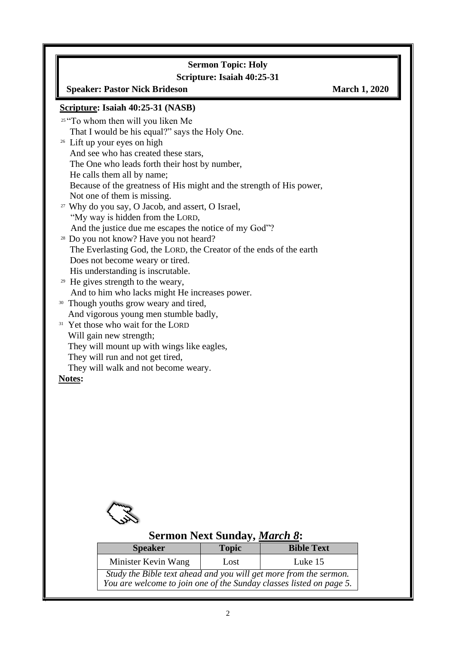## **Sermon Topic: Holy**

## **Scripture: Isaiah 40:25-31**

#### **Speaker: Pastor Nick Brideson March 1, 2020**

#### **Scripture: Isaiah 40:25-31 (NASB)**

| <sup>25</sup> "To whom then will you liken Me                        |
|----------------------------------------------------------------------|
| That I would be his equal?" says the Holy One.                       |
| <sup>26</sup> Lift up your eyes on high                              |
| And see who has created these stars,                                 |
| The One who leads forth their host by number,                        |
| He calls them all by name;                                           |
| Because of the greatness of His might and the strength of His power, |
| Not one of them is missing.                                          |
| <sup>27</sup> Why do you say, O Jacob, and assert, O Israel,         |
| "My way is hidden from the LORD,                                     |
| And the justice due me escapes the notice of my God"?                |
| <sup>28</sup> Do you not know? Have you not heard?                   |
| The Everlasting God, the LORD, the Creator of the ends of the earth  |
| Does not become weary or tired.                                      |
| His understanding is inscrutable.                                    |
| <sup>29</sup> He gives strength to the weary,                        |
| And to him who lacks might He increases power.                       |
| <sup>30</sup> Though youths grow weary and tired,                    |
| And vigorous young men stumble badly,                                |
| <sup>31</sup> Yet those who wait for the LORD                        |
| Will gain new strength;                                              |
| They will mount up with wings like eagles,                           |

They will run and not get tired,

They will walk and not become weary.

#### **Notes:**

 $\overline{\phantom{a}}$ 



## **Sermon Next Sunday,** *March 8***:**

| <b>Speaker</b>                                                                                                                           | <b>Topic</b> | <b>Bible Text</b> |
|------------------------------------------------------------------------------------------------------------------------------------------|--------------|-------------------|
| Minister Kevin Wang                                                                                                                      | Lost         | Luke 15           |
| Study the Bible text ahead and you will get more from the sermon.<br>You are welcome to join one of the Sunday classes listed on page 5. |              |                   |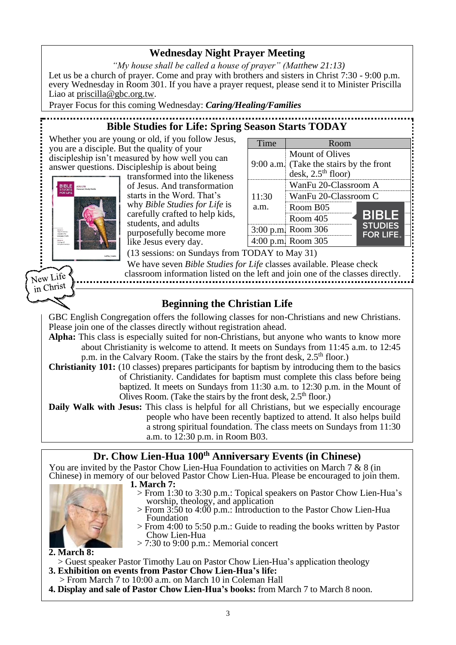## **Wednesday Night Prayer Meeting**

*"My house shall be called a house of prayer" (Matthew 21:13)* Let us be a church of prayer. Come and pray with brothers and sisters in Christ 7:30 - 9:00 p.m. every Wednesday in Room 301. If you have a prayer request, please send it to Minister Priscilla Liao at [priscilla@gbc.org.tw.](mailto:priscilla@gbc.org.tw)

Prayer Focus for this coming Wednesday: *Caring/Healing/Families*

## **Bible Studies for Life: Spring Season Starts TODAY**

Whether you are young or old, if you follow Jesus, you are a disciple. But the quality of your discipleship isn't measured by how well you can answer questions. Discipleship is about being



New Life  $\frac{N_{\text{C}}}{N_{\text{in}}}\text{Christ}$  transformed into the likeness of Jesus. And transformation starts in the Word. That's why *Bible Studies for Life* is carefully crafted to help kids, students, and adults purposefully become more like Jesus every day.

| Time          | Room                                                                               |                                    |
|---------------|------------------------------------------------------------------------------------|------------------------------------|
|               | Mount of Olives<br>9:00 a.m. (Take the stairs by the front<br>desk, $2.5th$ floor) |                                    |
| 11:30<br>a.m. | WanFu 20-Classroom A<br>WanFu 20-Classroom C<br>Room B05<br>Room 405               | <b>BIBLE</b>                       |
|               | 3:00 p.m. Room 306<br>4:00 p.m. Room 305                                           | <b>STUDIES</b><br><b>FOR LIFE.</b> |

(13 sessions: on Sundays from TODAY to May 31)

We have seven *Bible Studies for Life* classes available. Please check classroom information listed on the left and join one of the classes directly.

## **Beginning the Christian Life**

GBC English Congregation offers the following classes for non-Christians and new Christians. Please join one of the classes directly without registration ahead.

**Alpha:** This class is especially suited for non-Christians, but anyone who wants to know more about Christianity is welcome to attend. It meets on Sundays from 11:45 a.m. to 12:45 p.m. in the Calvary Room. (Take the stairs by the front desk, 2.5<sup>th</sup> floor.)

**Christianity 101:** (10 classes) prepares participants for baptism by introducing them to the basics of Christianity. Candidates for baptism must complete this class before being baptized. It meets on Sundays from 11:30 a.m. to 12:30 p.m. in the Mount of Olives Room. (Take the stairs by the front desk,  $2.5<sup>th</sup>$  floor.)

**Daily Walk with Jesus:** This class is helpful for all Christians, but we especially encourage people who have been recently baptized to attend. It also helps build a strong spiritual foundation. The class meets on Sundays from 11:30 a.m. to 12:30 p.m. in Room B03.

### **Dr. Chow Lien-Hua 100th Anniversary Events (in Chinese)**

You are invited by the Pastor Chow Lien-Hua Foundation to activities on March 7 & 8 (in Chinese) in memory of our beloved Pastor Chow Lien-Hua. Please be encouraged to join them. **1. March 7:** 



- > From 1:30 to 3:30 p.m.: Topical speakers on Pastor Chow Lien-Hua's worship, theology, and application
- > From 3:50 to 4:00 p.m.: Introduction to the Pastor Chow Lien-Hua Foundation
- > From 4:00 to 5:50 p.m.: Guide to reading the books written by Pastor Chow Lien-Hua
- > 7:30 to 9:00 p.m.: Memorial concert

**2. March 8:** 

- > Guest speaker Pastor Timothy Lau on Pastor Chow Lien-Hua's application theology **3. Exhibition on events from Pastor Chow Lien-Hua's life:**
- > From March 7 to 10:00 a.m. on March 10 in Coleman Hall
- **4. Display and sale of Pastor Chow Lien-Hua's books:** from March 7 to March 8 noon.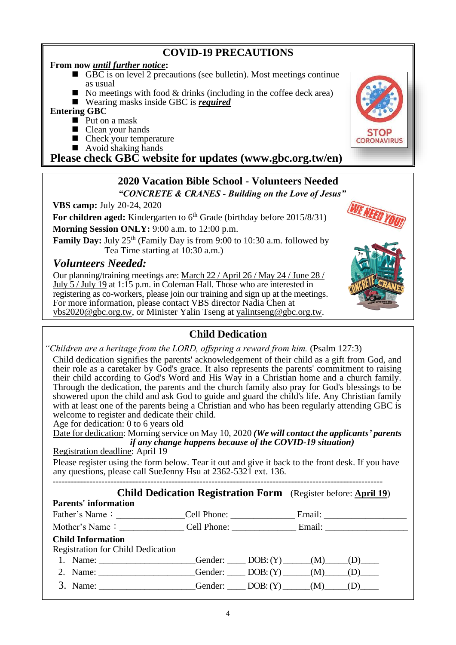## **COVID-19 PRECAUTIONS**

#### **From now** *until further notice***:**

- GBC is on level 2 precautions (see bulletin). Most meetings continue as usual
- $\blacksquare$  No meetings with food & drinks (including in the coffee deck area)
- Wearing masks inside GBC is *required*

#### **Entering GBC**

- $\blacksquare$  Put on a mask
- Clean your hands
- $\blacksquare$  Check your temperature
- $\blacksquare$  Avoid shaking hands

**Please check GBC website for updates (www.gbc.org.tw/en)**

#### **2020 Vacation Bible School - Volunteers Needed** *"CONCRETE & CRANES - Building on the Love of Jesus"*

**VBS camp:** July 20-24, 2020

For children aged: Kindergarten to 6<sup>th</sup> Grade (birthday before 2015/8/31)

**Morning Session ONLY:** 9:00 a.m. to 12:00 p.m.

**Family Day:** July 25<sup>th</sup> (Family Day is from 9:00 to 10:30 a.m. followed by Tea Time starting at 10:30 a.m.)

## *Volunteers Needed:*

Our planning/training meetings are: March 22 / April 26 / May 24 / June 28 / July 5 / July 19 at 1:15 p.m. in Coleman Hall. Those who are interested in registering as co-workers, please join our training and sign up at the meetings. For more information, please contact VBS director Nadia Chen at [vbs2020@gbc.org.tw,](mailto:vbs2020@gbc.org.tw) or Minister Yalin Tseng at [yalintseng@gbc.org.tw.](mailto:yalintseng@gbc.org.tw)

## **Child Dedication**

*"Children are a heritage from the LORD, offspring a reward from him.* (Psalm 127:3)

Child dedication signifies the parents' acknowledgement of their child as a gift from God, and their role as a caretaker by God's grace. It also represents the parents' commitment to raising their child according to God's Word and His Way in a Christian home and a church family. Through the dedication, the parents and the church family also pray for God's blessings to be showered upon the child and ask God to guide and guard the child's life. Any Christian family with at least one of the parents being a Christian and who has been regularly attending GBC is welcome to register and dedicate their child.

Age for dedication: 0 to 6 years old

Date for dedication: Morning service on May 10, 2020 *(We will contact the applicants' parents if any change happens because of the COVID-19 situation)* Registration deadline: April 19

Please register using the form below. Tear it out and give it back to the front desk. If you have any questions, please call SueJenny Hsu at 2362-5321 ext. 136.

------------------------------------------------------------------------------------------------------------

#### **Child Dedication Registration Form** (Register before: **April 19**)

#### **Parents' information**

Father's Name:\_\_\_\_\_\_\_\_\_\_\_\_\_\_\_Cell Phone: \_\_\_\_\_\_\_\_\_\_\_\_\_\_ Email: \_\_\_\_\_\_\_\_\_\_\_\_\_\_\_\_\_\_ Mother's Name:\_\_\_\_\_\_\_\_\_\_\_\_\_\_ Cell Phone: \_\_\_\_\_\_\_\_\_\_\_\_\_\_ Email: \_\_\_\_\_\_\_\_\_\_\_\_\_\_\_\_\_\_ **Child Information** Registration for Child Dedication 1. Name: \_\_\_\_\_\_\_\_\_\_\_\_\_\_\_\_\_\_\_\_Gender: \_\_\_\_\_ DOB: (Y) \_\_\_\_\_(M) \_\_\_\_(D) \_\_\_\_\_ 2. Name: \_\_\_\_\_\_\_\_\_\_\_\_\_\_\_\_\_\_\_Gender: \_\_\_\_\_ DOB: (Y) \_\_\_\_\_(M) \_\_\_\_(D) 3. Name: Gender:  $\qquad \qquad$  Gender:  $\qquad \qquad$  DOB:  $(Y)$   $\qquad \qquad$   $(M)$   $\qquad \qquad$   $(D)$ 



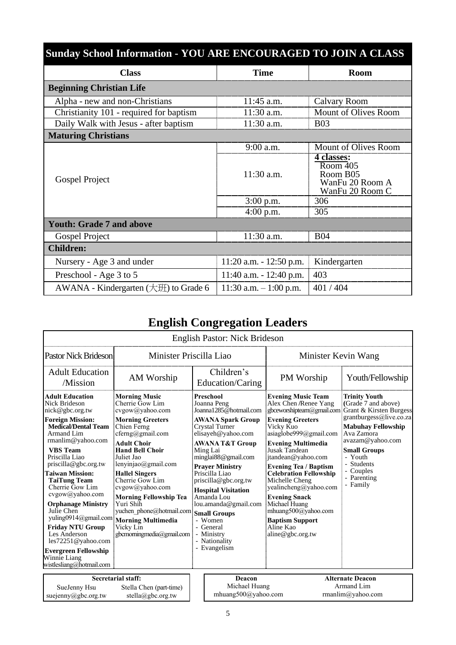| <b>Sunday School Information - YOU ARE ENCOURAGED TO JOIN A CLASS</b> |                            |                                                                                              |
|-----------------------------------------------------------------------|----------------------------|----------------------------------------------------------------------------------------------|
| <b>Class</b>                                                          | <b>Time</b>                | <b>Room</b>                                                                                  |
| <b>Beginning Christian Life</b>                                       |                            |                                                                                              |
| Alpha - new and non-Christians                                        | $11:45$ a.m.               | Calvary Room                                                                                 |
| Christianity 101 - required for baptism                               | 11:30 a.m.                 | Mount of Olives Room                                                                         |
| Daily Walk with Jesus - after baptism                                 | 11:30 a.m.                 | <b>B03</b>                                                                                   |
| <b>Maturing Christians</b>                                            |                            |                                                                                              |
|                                                                       | 9:00 a.m.                  | Mount of Olives Room                                                                         |
| Gospel Project                                                        | $11:30$ a.m.               | 4 classes:<br>$\overline{\text{Room }405}$<br>Room B05<br>WanFu 20 Room A<br>WanFu 20 Room C |
|                                                                       | $3:00$ p.m.                | 306                                                                                          |
|                                                                       | $4:00$ p.m.                | 305                                                                                          |
| <b>Youth: Grade 7 and above</b>                                       |                            |                                                                                              |
| Gospel Project                                                        | 11:30 a.m.                 | <b>B04</b>                                                                                   |
| <b>Children:</b>                                                      |                            |                                                                                              |
| Nursery - Age 3 and under                                             | $11:20$ a.m. $-12:50$ p.m. | Kindergarten                                                                                 |
| Preschool - Age 3 to 5                                                | 11:40 a.m. $- 12:40$ p.m.  | 403                                                                                          |
| AWANA - Kindergarten (大班) to Grade 6                                  | 11:30 a.m. $-1:00$ p.m.    | 401/404                                                                                      |

# **English Congregation Leaders**

|                                                                                                                                                                                                                                                                                                                                                                                                                                                                                                                           |                                                                                                                                                                                                                                                                                                                                                                                                                                        | <b>English Pastor: Nick Brideson</b>                                                                                                                                                                                                                                                                                                                                                                                          |                                                                                                                                                                                                                                                                                                                                                                                                                                                              |                                                                                                                                                                                                                                                          |
|---------------------------------------------------------------------------------------------------------------------------------------------------------------------------------------------------------------------------------------------------------------------------------------------------------------------------------------------------------------------------------------------------------------------------------------------------------------------------------------------------------------------------|----------------------------------------------------------------------------------------------------------------------------------------------------------------------------------------------------------------------------------------------------------------------------------------------------------------------------------------------------------------------------------------------------------------------------------------|-------------------------------------------------------------------------------------------------------------------------------------------------------------------------------------------------------------------------------------------------------------------------------------------------------------------------------------------------------------------------------------------------------------------------------|--------------------------------------------------------------------------------------------------------------------------------------------------------------------------------------------------------------------------------------------------------------------------------------------------------------------------------------------------------------------------------------------------------------------------------------------------------------|----------------------------------------------------------------------------------------------------------------------------------------------------------------------------------------------------------------------------------------------------------|
| <b>Pastor Nick Brideson</b>                                                                                                                                                                                                                                                                                                                                                                                                                                                                                               | Minister Priscilla Liao                                                                                                                                                                                                                                                                                                                                                                                                                |                                                                                                                                                                                                                                                                                                                                                                                                                               | Minister Kevin Wang                                                                                                                                                                                                                                                                                                                                                                                                                                          |                                                                                                                                                                                                                                                          |
| <b>Adult Education</b><br>/Mission                                                                                                                                                                                                                                                                                                                                                                                                                                                                                        | AM Worship                                                                                                                                                                                                                                                                                                                                                                                                                             | Children's<br>Education/Caring                                                                                                                                                                                                                                                                                                                                                                                                | PM Worship                                                                                                                                                                                                                                                                                                                                                                                                                                                   | Youth/Fellowship                                                                                                                                                                                                                                         |
| <b>Adult Education</b><br>Nick Brideson<br>nick@gbc.org.tw<br><b>Foreign Mission:</b><br><b>Medical/Dental Team</b><br>Armand Lim<br>rmanlim@yahoo.com<br><b>VBS</b> Team<br>Priscilla Liao<br>priscilla@gbc.org.tw<br><b>Taiwan Mission:</b><br><b>TaiTung Team</b><br>Cherrie Gow Lim<br>cvgow@yahoo.com<br><b>Orphanage Ministry</b><br>Julie Chen<br>yuling0914@gmail.com<br><b>Friday NTU Group</b><br>Les Anderson<br>les72251@yahoo.com<br><b>Evergreen Fellowship</b><br>Winnie Liang<br>wistlesliang@hotmail.com | <b>Morning Music</b><br>Cherrie Gow Lim<br>cvgow@yahoo.com<br><b>Morning Greeters</b><br>Chien Ferng<br>$cferng(a)$ gmail.com<br><b>Adult Choir</b><br><b>Hand Bell Choir</b><br>Juliet Jao<br>lenyinjao@gmail.com<br><b>Hallel Singers</b><br>Cherrie Gow Lim<br>cvgow@yahoo.com<br><b>Morning Fellowship Tea</b><br>Yuri Shih<br>yuchen phone@hotmail.com<br><b>Morning Multimedia</b><br>Vicky Lin<br>gbcmoming media $@g$ mail.com | <b>Preschool</b><br>Joanna Peng<br>Joanna1285@hotmail.com<br>AWANA Spark Group<br>Crystal Turner<br>elisayeh@yahoo.com<br><b>AWANA T&amp;T Group</b><br>Ming Lai<br>minglai88@gmail.com<br><b>Prayer Ministry</b><br>Priscilla Liao<br>priscilla@gbc.org.tw<br><b>Hospital Visitation</b><br>Amanda Lou<br>lou.amanda@gmail.com<br><b>Small Groups</b><br>- Women<br>- General<br>- Ministry<br>- Nationality<br>- Evangelism | <b>Evening Music Team</b><br>Alex Chen /Renee Yang<br>gbceworshipteam@gmail.com<br><b>Evening Greeters</b><br>Vicky Kuo<br>asiaglobe999@gmail.com<br><b>Evening Multimedia</b><br>Jusak Tandean<br>jtandean@yahoo.com<br><b>Evening Tea / Baptism</b><br><b>Celebration Fellowship</b><br>Michelle Cheng<br>yealincheng@yahoo.com<br><b>Evening Snack</b><br>Michael Huang<br>mhuang500@yahoo.com<br><b>Baptism Support</b><br>Aline Kao<br>aline@gbc.org.tw | <b>Trinity Youth</b><br>(Grade 7 and above)<br>Grant & Kirsten Burgess<br>grantburgess@live.co.za<br><b>Mabuhay Fellowship</b><br>Ava Zamora<br>avazam@yahoo.com<br><b>Small Groups</b><br>- Youth<br>- Students<br>- Couples<br>- Parenting<br>- Family |
| SueJenny Hsu<br>suejenny@gbc.org.tw                                                                                                                                                                                                                                                                                                                                                                                                                                                                                       | Secretarial staff:<br>Stella Chen (part-time)<br>stella@gbc.org.tw                                                                                                                                                                                                                                                                                                                                                                     | Deacon<br>Michael Huang<br>mhuang500@yahoo.com                                                                                                                                                                                                                                                                                                                                                                                |                                                                                                                                                                                                                                                                                                                                                                                                                                                              | <b>Alternate Deacon</b><br>Armand Lim<br>rmanlim@yahoo.com                                                                                                                                                                                               |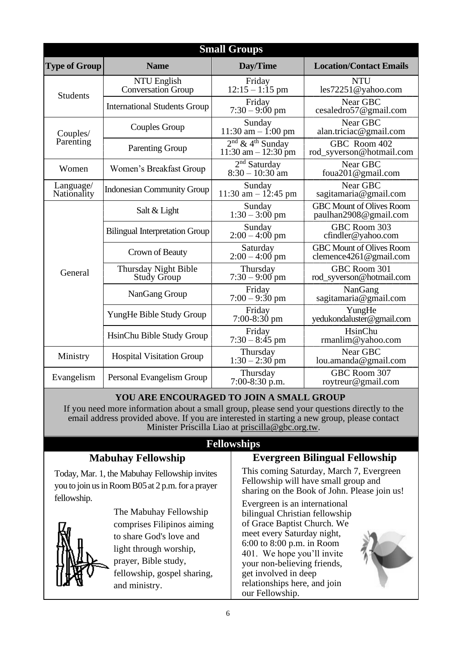|                          |                                          | <b>Small Groups</b>                                     |                                                           |
|--------------------------|------------------------------------------|---------------------------------------------------------|-----------------------------------------------------------|
| <b>Type of Group</b>     | <b>Name</b>                              | Day/Time                                                | <b>Location/Contact Emails</b>                            |
| <b>Students</b>          | NTU English<br><b>Conversation Group</b> | Friday<br>$12:15 - 1:15$ pm                             | <b>NTU</b><br>les72251@yahoo.com                          |
|                          | <b>International Students Group</b>      | Friday<br>$7:30 - 9:00 \text{ pm}$                      | Near GBC<br>cesaledro57@gmail.com                         |
| Couples/                 | Couples Group                            | Sunday<br>$11:30$ am $- 1:00$ pm                        | Near GBC<br>alan.triciac@gmail.com                        |
| Parenting                | <b>Parenting Group</b>                   | $2nd$ & 4 <sup>th</sup> Sunday<br>11:30 am $- 12:30$ pm | GBC Room 402<br>rod_syverson@hotmail.com                  |
| Women                    | Women's Breakfast Group                  | $2nd$ Saturday<br>$8:30 - 10:30$ am                     | Near GBC<br>foua201@gmail.com                             |
| Language/<br>Nationality | <b>Indonesian Community Group</b>        | Sunday<br>11:30 am $- 12:45$ pm                         | Near GBC<br>sagitamaria@gmail.com                         |
|                          | Salt & Light                             | Sunday<br>$1:30 - 3:00$ pm                              | <b>GBC Mount of Olives Room</b><br>paulhan2908@gmail.com  |
|                          | <b>Bilingual Interpretation Group</b>    | Sunday<br>$2:00 - 4:00$ pm                              | GBC Room 303<br>cfindler@yahoo.com                        |
|                          | Crown of Beauty                          | Saturday<br>$2:00 - 4:00$ pm                            | <b>GBC Mount of Olives Room</b><br>clemence4261@gmail.com |
| General                  | Thursday Night Bible<br>Study Group      | Thursday<br>$7:30 - 9:00$ pm                            | GBC Room 301<br>rod_syverson@hotmail.com                  |
|                          | NanGang Group                            | Friday<br>$7:00 - 9:30$ pm                              | NanGang<br>sagitamaria@gmail.com                          |
|                          | YungHe Bible Study Group                 | Friday<br>7:00-8:30 pm                                  | YungHe<br>yedukondaluster@gmail.com                       |
|                          | HsinChu Bible Study Group                | Friday<br>$7:30 - 8:45$ pm                              | HsinChu<br>rmanlim@yahoo.com                              |
| Ministry                 | <b>Hospital Visitation Group</b>         | Thursday<br>$1:30 - 2:30$ pm                            | Near GBC<br>lou.amanda@gmail.com                          |
| Evangelism               | Personal Evangelism Group                | Thursday<br>7:00-8:30 p.m.                              | GBC Room 307<br>roytreur@gmail.com                        |

#### **YOU ARE ENCOURAGED TO JOIN A SMALL GROUP**

If you need more information about a small group, please send your questions directly to the email address provided above. If you are interested in starting a new group, please contact Minister Priscilla Liao at [priscilla@gbc.org.tw.](mailto:priscilla@gbc.org.tw)

## **Fellowships**

### **Evergreen Bilingual Fellowship**

Today, Mar. 1, the Mabuhay Fellowship invites you to join us in Room B05 at 2 p.m. for a prayer fellowship.

**Mabuhay Fellowship**



The Mabuhay Fellowship comprises Filipinos aiming to share God's love and light through worship, prayer, Bible study, fellowship, gospel sharing, and ministry.

This coming Saturday, March 7, Evergreen Fellowship will have small group and sharing on the Book of John. Please join us!

Evergreen is an international bilingual Christian fellowship of Grace Baptist Church. We meet every Saturday night, 6:00 to 8:00 p.m. in Room 401. We hope you'll invite your non-believing friends, get involved in deep relationships here, and join our Fellowship.